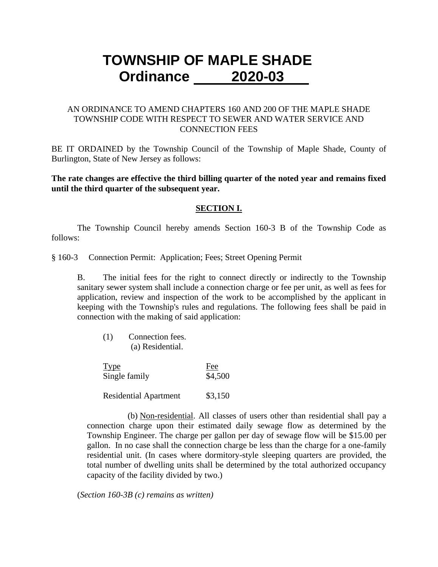# **TOWNSHIP OF MAPLE SHADE Ordinance 2020-03**

## AN ORDINANCE TO AMEND CHAPTERS 160 AND 200 OF THE MAPLE SHADE TOWNSHIP CODE WITH RESPECT TO SEWER AND WATER SERVICE AND CONNECTION FEES

BE IT ORDAINED by the Township Council of the Township of Maple Shade, County of Burlington, State of New Jersey as follows:

**The rate changes are effective the third billing quarter of the noted year and remains fixed until the third quarter of the subsequent year.**

#### **SECTION I.**

The Township Council hereby amends Section 160-3 B of the Township Code as follows:

#### § 160-3 Connection Permit: Application; Fees; Street Opening Permit

B. The initial fees for the right to connect directly or indirectly to the Township sanitary sewer system shall include a connection charge or fee per unit, as well as fees for application, review and inspection of the work to be accomplished by the applicant in keeping with the Township's rules and regulations. The following fees shall be paid in connection with the making of said application:

[\(1\)](http://www.ecode360.com/6927133#6927133) Connection fees. [\(a\)](http://www.ecode360.com/6927134#6927134) Residential.

| <u>Type</u>   | Fee     |
|---------------|---------|
| Single family | \$4,500 |

Residential Apartment \$3,150

 [\(b\)](http://www.ecode360.com/6927135#6927135) Non-residential. All classes of users other than residential shall pay a connection charge upon their estimated daily sewage flow as determined by the Township Engineer. The charge per gallon per day of sewage flow will be \$15.00 per gallon. In no case shall the connection charge be less than the charge for a one-family residential unit. (In cases where dormitory-style sleeping quarters are provided, the total number of dwelling units shall be determined by the total authorized occupancy capacity of the facility divided by two.)

(*Section 160-3B (c) remains as written)*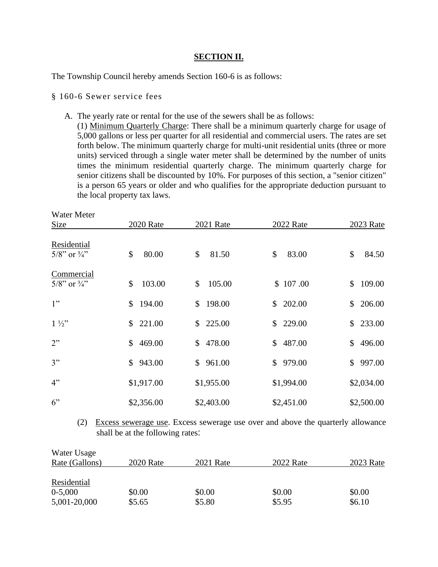#### **SECTION II.**

The Township Council hereby amends Section 160-6 is as follows:

§ 160-6 Sewer service fees

 $\mathbf{W}$   $\mathbf{W}$ 

A. The yearly rate or rental for the use of the sewers shall be as follows:

(1) Minimum Quarterly Charge: There shall be a minimum quarterly charge for usage of 5,000 gallons or less per quarter for all residential and commercial users. The rates are set forth below. The minimum quarterly charge for multi-unit residential units (three or more units) serviced through a single water meter shall be determined by the number of units times the minimum residential quarterly charge. The minimum quarterly charge for senior citizens shall be discounted by 10%. For purposes of this section, a "senior citizen" is a person 65 years or older and who qualifies for the appropriate deduction pursuant to the local property tax laws.

| water meter<br>Size                       | <b>2020</b> Rate       | 2021 Rate              | 2022 Rate                | 2023 Rate                |
|-------------------------------------------|------------------------|------------------------|--------------------------|--------------------------|
| Residential<br>$5/8$ " or $\frac{3}{4}$ " | \$<br>80.00            | \$<br>81.50            | 83.00<br>\$              | \$<br>84.50              |
| Commercial<br>$5/8$ " or $\frac{3}{4}$ "  | 103.00<br>\$           | 105.00<br>\$           | \$107.00                 | 109.00<br>$\mathbb{S}^-$ |
| 1"                                        | 194.00<br>$\mathbb{S}$ | 198.00<br>$\mathbb{S}$ | 202.00<br>$\mathbb{S}^-$ | 206.00<br>\$             |
| $1\frac{1}{2}$                            | \$221.00               | 225.00<br>\$           | \$229.00                 | \$233.00                 |
| 2"                                        | 469.00<br>$\mathbb{S}$ | 478.00<br>$\mathbb{S}$ | \$487.00                 | \$496.00                 |
| 3"                                        | 943.00<br>$\mathbb{S}$ | 961.00<br>S.           | 979.00<br>$\mathbb{S}$   | 997.00<br>$\mathbb{S}^-$ |
| 4"                                        | \$1,917.00             | \$1,955.00             | \$1,994.00               | \$2,034.00               |
| 6"                                        | \$2,356.00             | \$2,403.00             | \$2,451.00               | \$2,500.00               |

(2) Excess sewerage use. Excess sewerage use over and above the quarterly allowance shall be at the following rates:

| Water Usage    |                  |           |           |           |
|----------------|------------------|-----------|-----------|-----------|
| Rate (Gallons) | <b>2020</b> Rate | 2021 Rate | 2022 Rate | 2023 Rate |
|                |                  |           |           |           |
| Residential    |                  |           |           |           |
| $0-5,000$      | \$0.00           | \$0.00    | \$0.00    | \$0.00    |
| 5,001-20,000   | \$5.65           | \$5.80    | \$5.95    | \$6.10    |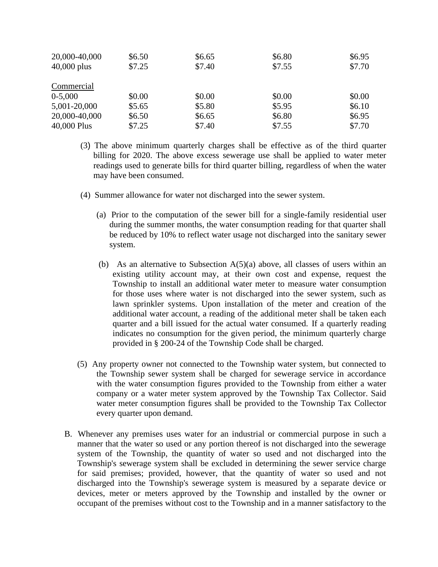| 20,000-40,000<br>$40,000$ plus | \$6.50<br>\$7.25 | \$6.65<br>\$7.40 | \$6.80<br>\$7.55 | \$6.95<br>\$7.70 |
|--------------------------------|------------------|------------------|------------------|------------------|
| Commercial                     |                  |                  |                  |                  |
| $0-5,000$                      | \$0.00           | \$0.00           | \$0.00           | \$0.00           |
| 5,001-20,000                   | \$5.65           | \$5.80           | \$5.95           | \$6.10           |
| 20,000-40,000                  | \$6.50           | \$6.65           | \$6.80           | \$6.95           |
| 40,000 Plus                    | \$7.25           | \$7.40           | \$7.55           | \$7.70           |

- (3) The above minimum quarterly charges shall be effective as of the third quarter billing for 2020. The above excess sewerage use shall be applied to water meter readings used to generate bills for third quarter billing, regardless of when the water may have been consumed.
- (4) Summer allowance for water not discharged into the sewer system.
	- [\(a\)](http://www.ecode360.com/6927159#6927159) Prior to the computation of the sewer bill for a single-family residential user during the summer months, the water consumption reading for that quarter shall be reduced by 10% to reflect water usage not discharged into the sanitary sewer system.
	- [\(b\)](http://www.ecode360.com/6927160#6927160) As an alternative to Subsection  $A(5)(a)$  above, all classes of users within an existing utility account may, at their own cost and expense, request the Township to install an additional water meter to measure water consumption for those uses where water is not discharged into the sewer system, such as lawn sprinkler systems. Upon installation of the meter and creation of the additional water account, a reading of the additional meter shall be taken each quarter and a bill issued for the actual water consumed. If a quarterly reading indicates no consumption for the given period, the minimum quarterly charge provided in § 200-24 of the Township Code shall be charged.
- [\(5\)](http://www.ecode360.com/6927161#6927161) Any property owner not connected to the Township water system, but connected to the Township sewer system shall be charged for sewerage service in accordance with the water consumption figures provided to the Township from either a water company or a water meter system approved by the Township Tax Collector. Said water meter consumption figures shall be provided to the Township Tax Collector every quarter upon demand.
- [B.](http://www.ecode360.com/6927162#6927162) Whenever any premises uses water for an industrial or commercial purpose in such a manner that the water so used or any portion thereof is not discharged into the sewerage system of the Township, the quantity of water so used and not discharged into the Township's sewerage system shall be excluded in determining the sewer service charge for said premises; provided, however, that the quantity of water so used and not discharged into the Township's sewerage system is measured by a separate device or devices, meter or meters approved by the Township and installed by the owner or occupant of the premises without cost to the Township and in a manner satisfactory to the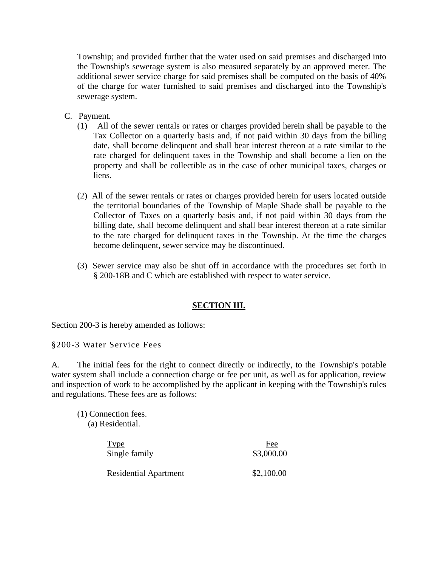Township; and provided further that the water used on said premises and discharged into the Township's sewerage system is also measured separately by an approved meter. The additional sewer service charge for said premises shall be computed on the basis of 40% of the charge for water furnished to said premises and discharged into the Township's sewerage system.

- [C.](http://www.ecode360.com/6927163#6927163) Payment.
	- [\(1\)](http://www.ecode360.com/6927164#6927164) All of the sewer rentals or rates or charges provided herein shall be payable to the Tax Collector on a quarterly basis and, if not paid within 30 days from the billing date, shall become delinquent and shall bear interest thereon at a rate similar to the rate charged for delinquent taxes in the Township and shall become a lien on the property and shall be collectible as in the case of other municipal taxes, charges or liens.
	- [\(2\)](http://www.ecode360.com/6927165#6927165) All of the sewer rentals or rates or charges provided herein for users located outside the territorial boundaries of the Township of Maple Shade shall be payable to the Collector of Taxes on a quarterly basis and, if not paid within 30 days from the billing date, shall become delinquent and shall bear interest thereon at a rate similar to the rate charged for delinquent taxes in the Township. At the time the charges become delinquent, sewer service may be discontinued.
	- [\(3\)](http://www.ecode360.com/6927166#6927166) Sewer service may also be shut off in accordance with the procedures set forth in § 200-18B and C which are established with respect to water service.

## **SECTION III.**

Section 200-3 is hereby amended as follows:

§200-3 Water Service Fees

A. The initial fees for the right to connect directly or indirectly, to the Township's potable water system shall include a connection charge or fee per unit, as well as for application, review and inspection of work to be accomplished by the applicant in keeping with the Township's rules and regulations. These fees are as follows:

[\(1\)](http://www.ecode360.com/6928793#6928793) Connection fees. [\(a\)](http://www.ecode360.com/6927134#6927134) Residential.

| <b>Type</b>                  | Fee        |
|------------------------------|------------|
| Single family                | \$3,000.00 |
| <b>Residential Apartment</b> | \$2,100.00 |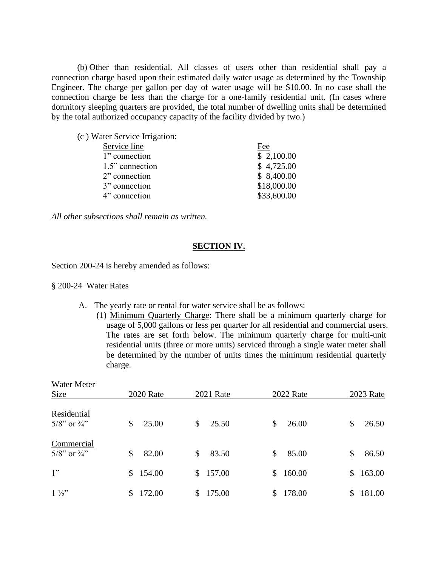[\(b\)](http://www.ecode360.com/6928795#6928795) Other than residential. All classes of users other than residential shall pay a connection charge based upon their estimated daily water usage as determined by the Township Engineer. The charge per gallon per day of water usage will be \$10.00. In no case shall the connection charge be less than the charge for a one-family residential unit. (In cases where dormitory sleeping quarters are provided, the total number of dwelling units shall be determined by the total authorized occupancy capacity of the facility divided by two.)

|  | (c) Water Service Irrigation: |
|--|-------------------------------|
|  |                               |

| Service line    | Fee |             |
|-----------------|-----|-------------|
| 1" connection   |     | \$2,100.00  |
| 1.5" connection |     | \$4,725.00  |
| 2" connection   |     | \$8,400.00  |
| 3" connection   |     | \$18,000.00 |
| 4" connection   |     | \$33,600.00 |
|                 |     |             |

*All other subsections shall remain as written.* 

#### **SECTION IV.**

Section 200-24 is hereby amended as follows:

§ 200-24 Water Rates

- A. The yearly rate or rental for water service shall be as follows:
	- (1) Minimum Quarterly Charge: There shall be a minimum quarterly charge for usage of 5,000 gallons or less per quarter for all residential and commercial users. The rates are set forth below. The minimum quarterly charge for multi-unit residential units (three or more units) serviced through a single water meter shall be determined by the number of units times the minimum residential quarterly charge.

| Water Meter                |                  |           |              |                        |
|----------------------------|------------------|-----------|--------------|------------------------|
| Size                       | <b>2020</b> Rate | 2021 Rate | 2022 Rate    | 2023 Rate              |
| Residential                | 25.00            | 25.50     | 26.00        | 26.50                  |
| $5/8$ " or $\frac{3}{4}$ " | \$               | \$        | \$           | \$                     |
| Commercial                 | 82.00            | 83.50     | 85.00        | 86.50                  |
| $5/8$ " or $\frac{3}{4}$ " | \$               | \$        | \$           | \$                     |
| 1"                         | \$154.00         | \$157.00  | 160.00<br>\$ | 163.00<br>$\mathbb{S}$ |
| $1\frac{1}{2}$             | 172.00           | 175.00    | 178.00       | 181.00                 |
|                            | S.               | S         | \$           | \$                     |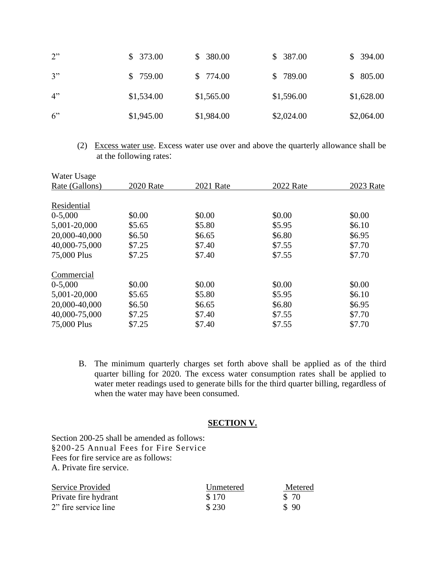| 2" | \$373.00   | \$380.00   | \$387.00   | \$394.00   |
|----|------------|------------|------------|------------|
| 3" | \$759.00   | \$774.00   | \$789.00   | \$805.00   |
| 4" | \$1,534.00 | \$1,565.00 | \$1,596.00 | \$1,628.00 |
| 6" | \$1,945.00 | \$1,984.00 | \$2,024.00 | \$2,064.00 |

(2) Excess water use. Excess water use over and above the quarterly allowance shall be at the following rates:

| <b>2020</b> Rate | <b>2021 Rate</b> | 2022 Rate | 2023 Rate |
|------------------|------------------|-----------|-----------|
|                  |                  |           |           |
|                  |                  |           |           |
| \$0.00           | \$0.00           | \$0.00    | \$0.00    |
| \$5.65           | \$5.80           | \$5.95    | \$6.10    |
| \$6.50           | \$6.65           | \$6.80    | \$6.95    |
| \$7.25           | \$7.40           | \$7.55    | \$7.70    |
| \$7.25           | \$7.40           | \$7.55    | \$7.70    |
|                  |                  |           |           |
| \$0.00           | \$0.00           | \$0.00    | \$0.00    |
| \$5.65           | \$5.80           | \$5.95    | \$6.10    |
| \$6.50           | \$6.65           | \$6.80    | \$6.95    |
| \$7.25           | \$7.40           | \$7.55    | \$7.70    |
| \$7.25           | \$7.40           | \$7.55    | \$7.70    |
|                  |                  |           |           |

B. The minimum quarterly charges set forth above shall be applied as of the third quarter billing for 2020. The excess water consumption rates shall be applied to water meter readings used to generate bills for the third quarter billing, regardless of when the water may have been consumed.

## **SECTION V.**

Section 200-25 shall be amended as follows: §200-25 Annual Fees for Fire Service Fees for fire service are as follows: [A.](http://www.ecode360.com/6928867#6928867) Private fire service.

| Service Provided     | Unmetered | Metered |
|----------------------|-----------|---------|
| Private fire hydrant | \$170     | \$ 70   |
| 2" fire service line | \$230     | \$90    |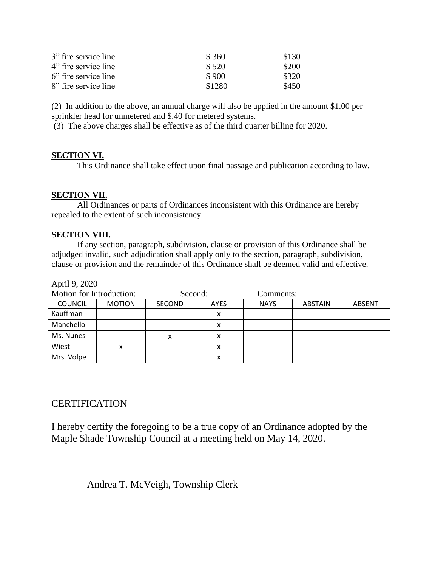| 3" fire service line | \$ 360 | \$130 |
|----------------------|--------|-------|
| 4" fire service line | \$520  | \$200 |
| 6" fire service line | \$900  | \$320 |
| 8" fire service line | \$1280 | \$450 |

[\(2\)](http://www.ecode360.com/6928874#6928874) In addition to the above, an annual charge will also be applied in the amount \$1.00 per sprinkler head for unmetered and \$.40 for metered systems.

(3) The above charges shall be effective as of the third quarter billing for 2020.

## **SECTION VI.**

This Ordinance shall take effect upon final passage and publication according to law.

## **SECTION VII.**

All Ordinances or parts of Ordinances inconsistent with this Ordinance are hereby repealed to the extent of such inconsistency.

## **SECTION VIII.**

If any section, paragraph, subdivision, clause or provision of this Ordinance shall be adjudged invalid, such adjudication shall apply only to the section, paragraph, subdivision, clause or provision and the remainder of this Ordinance shall be deemed valid and effective.

April 9, 2020

| Motion for Introduction: |               | Second:       |             | Comments:   |                |               |
|--------------------------|---------------|---------------|-------------|-------------|----------------|---------------|
| <b>COUNCIL</b>           | <b>MOTION</b> | <b>SECOND</b> | <b>AYES</b> | <b>NAYS</b> | <b>ABSTAIN</b> | <b>ABSENT</b> |
| Kauffman                 |               |               | х           |             |                |               |
| Manchello                |               |               | х           |             |                |               |
| Ms. Nunes                |               | X             | х           |             |                |               |
| Wiest                    | x             |               | x           |             |                |               |
| Mrs. Volpe               |               |               | х           |             |                |               |

# **CERTIFICATION**

I hereby certify the foregoing to be a true copy of an Ordinance adopted by the Maple Shade Township Council at a meeting held on May 14, 2020.

Andrea T. McVeigh, Township Clerk

 $\overline{\phantom{a}}$  ,  $\overline{\phantom{a}}$  ,  $\overline{\phantom{a}}$  ,  $\overline{\phantom{a}}$  ,  $\overline{\phantom{a}}$  ,  $\overline{\phantom{a}}$  ,  $\overline{\phantom{a}}$  ,  $\overline{\phantom{a}}$  ,  $\overline{\phantom{a}}$  ,  $\overline{\phantom{a}}$  ,  $\overline{\phantom{a}}$  ,  $\overline{\phantom{a}}$  ,  $\overline{\phantom{a}}$  ,  $\overline{\phantom{a}}$  ,  $\overline{\phantom{a}}$  ,  $\overline{\phantom{a}}$